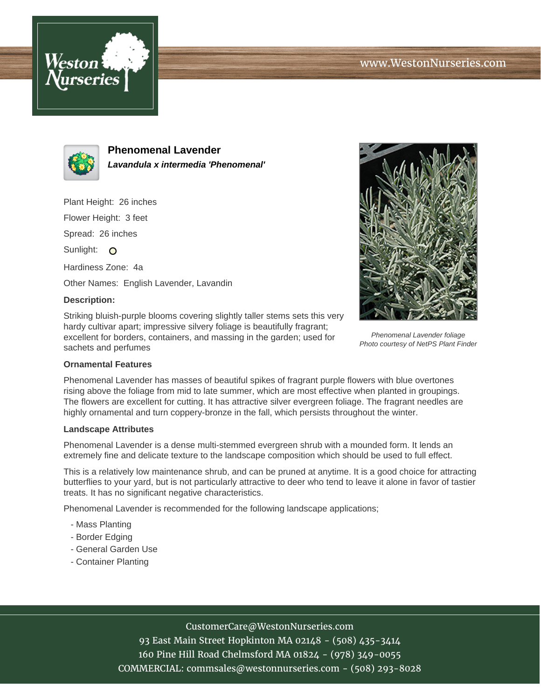



**Phenomenal Lavender Lavandula x intermedia 'Phenomenal'**

Plant Height: 26 inches

Flower Height: 3 feet

Spread: 26 inches

Sunlight: O

Hardiness Zone: 4a

Other Names: English Lavender, Lavandin

## **Description:**

Striking bluish-purple blooms covering slightly taller stems sets this very hardy cultivar apart; impressive silvery foliage is beautifully fragrant; excellent for borders, containers, and massing in the garden; used for sachets and perfumes



Phenomenal Lavender foliage Photo courtesy of NetPS Plant Finder

### **Ornamental Features**

Phenomenal Lavender has masses of beautiful spikes of fragrant purple flowers with blue overtones rising above the foliage from mid to late summer, which are most effective when planted in groupings. The flowers are excellent for cutting. It has attractive silver evergreen foliage. The fragrant needles are highly ornamental and turn coppery-bronze in the fall, which persists throughout the winter.

### **Landscape Attributes**

Phenomenal Lavender is a dense multi-stemmed evergreen shrub with a mounded form. It lends an extremely fine and delicate texture to the landscape composition which should be used to full effect.

This is a relatively low maintenance shrub, and can be pruned at anytime. It is a good choice for attracting butterflies to your yard, but is not particularly attractive to deer who tend to leave it alone in favor of tastier treats. It has no significant negative characteristics.

Phenomenal Lavender is recommended for the following landscape applications;

- Mass Planting
- Border Edging
- General Garden Use
- Container Planting

# CustomerCare@WestonNurseries.com

93 East Main Street Hopkinton MA 02148 - (508) 435-3414 160 Pine Hill Road Chelmsford MA 01824 - (978) 349-0055 COMMERCIAL: commsales@westonnurseries.com - (508) 293-8028